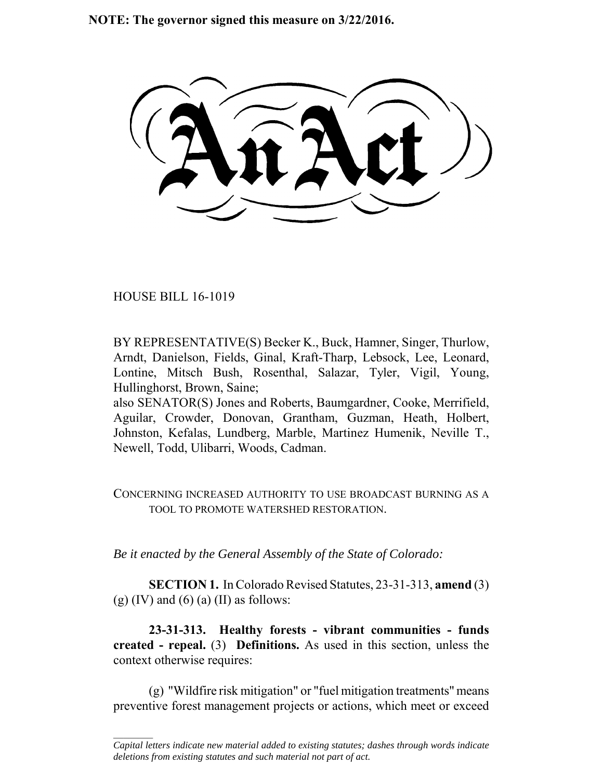**NOTE: The governor signed this measure on 3/22/2016.**

HOUSE BILL 16-1019

 $\frac{1}{2}$ 

BY REPRESENTATIVE(S) Becker K., Buck, Hamner, Singer, Thurlow, Arndt, Danielson, Fields, Ginal, Kraft-Tharp, Lebsock, Lee, Leonard, Lontine, Mitsch Bush, Rosenthal, Salazar, Tyler, Vigil, Young, Hullinghorst, Brown, Saine;

also SENATOR(S) Jones and Roberts, Baumgardner, Cooke, Merrifield, Aguilar, Crowder, Donovan, Grantham, Guzman, Heath, Holbert, Johnston, Kefalas, Lundberg, Marble, Martinez Humenik, Neville T., Newell, Todd, Ulibarri, Woods, Cadman.

CONCERNING INCREASED AUTHORITY TO USE BROADCAST BURNING AS A TOOL TO PROMOTE WATERSHED RESTORATION.

*Be it enacted by the General Assembly of the State of Colorado:*

**SECTION 1.** In Colorado Revised Statutes, 23-31-313, **amend** (3) (g)  $(IV)$  and  $(6)$   $(a)$   $(II)$  as follows:

**23-31-313. Healthy forests - vibrant communities - funds created - repeal.** (3) **Definitions.** As used in this section, unless the context otherwise requires:

(g) "Wildfire risk mitigation" or "fuel mitigation treatments" means preventive forest management projects or actions, which meet or exceed

*Capital letters indicate new material added to existing statutes; dashes through words indicate deletions from existing statutes and such material not part of act.*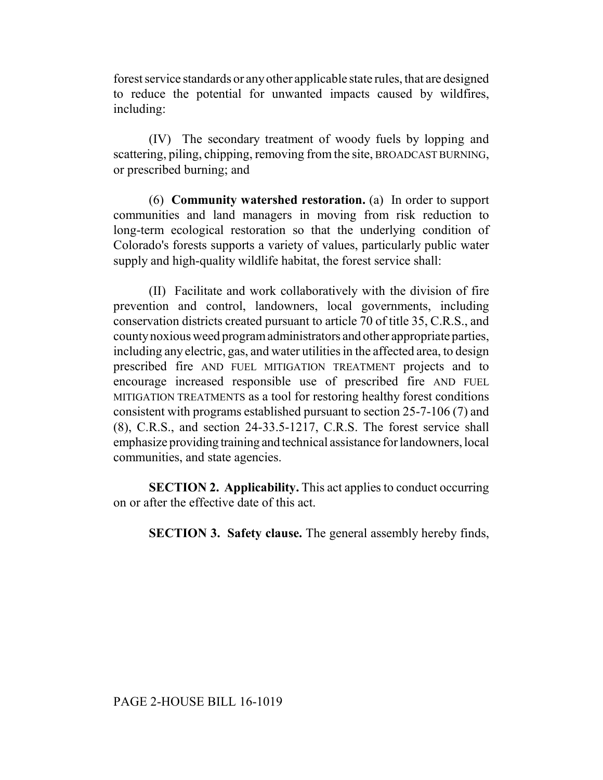forest service standards or any other applicable state rules, that are designed to reduce the potential for unwanted impacts caused by wildfires, including:

(IV) The secondary treatment of woody fuels by lopping and scattering, piling, chipping, removing from the site, BROADCAST BURNING, or prescribed burning; and

(6) **Community watershed restoration.** (a) In order to support communities and land managers in moving from risk reduction to long-term ecological restoration so that the underlying condition of Colorado's forests supports a variety of values, particularly public water supply and high-quality wildlife habitat, the forest service shall:

(II) Facilitate and work collaboratively with the division of fire prevention and control, landowners, local governments, including conservation districts created pursuant to article 70 of title 35, C.R.S., and county noxious weed program administrators and other appropriate parties, including any electric, gas, and water utilities in the affected area, to design prescribed fire AND FUEL MITIGATION TREATMENT projects and to encourage increased responsible use of prescribed fire AND FUEL MITIGATION TREATMENTS as a tool for restoring healthy forest conditions consistent with programs established pursuant to section 25-7-106 (7) and (8), C.R.S., and section 24-33.5-1217, C.R.S. The forest service shall emphasize providing training and technical assistance for landowners, local communities, and state agencies.

**SECTION 2. Applicability.** This act applies to conduct occurring on or after the effective date of this act.

**SECTION 3. Safety clause.** The general assembly hereby finds,